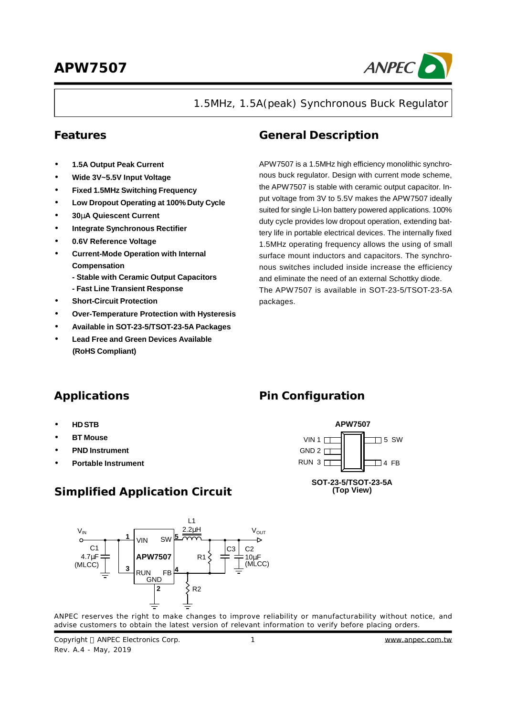

1.5MHz, 1.5A(peak) Synchronous Buck Regulator

- **· 1.5A Output Peak Current**
- **· Wide 3V~5.5V Input Voltage**
- **· Fixed 1.5MHz Switching Frequency**
- **· Low Dropout Operating at 100% Duty Cycle**
- **· 30mA Quiescent Current**
- **· Integrate Synchronous Rectifier**
- **· 0.6V Reference Voltage**
- **· Current-Mode Operation with Internal Compensation**
	- **- Stable with Ceramic Output Capacitors**
	- **- Fast Line Transient Response**
- **· Short-Circuit Protection**
- **· Over-Temperature Protection with Hysteresis**
- **· Available in SOT-23-5/TSOT-23-5A Packages**
- **· Lead Free and Green Devices Available (RoHS Compliant)**

### **Features General Description**

**Pin Configuration**

 $GND 2$  $RUN 3<sub>1</sub>$ 

 $VIN 1 \Box$ 

APW7507 is a 1.5MHz high efficiency monolithic synchronous buck regulator. Design with current mode scheme, the APW7507 is stable with ceramic output capacitor. Input voltage from 3V to 5.5V makes the APW7507 ideally suited for single Li-Ion battery powered applications. 100% duty cycle provides low dropout operation, extending battery life in portable electrical devices. The internally fixed 1.5MHz operating frequency allows the using of small surface mount inductors and capacitors. The synchronous switches included inside increase the efficiency and eliminate the need of an external Schottky diode. The APW7507 is available in SOT-23-5/TSOT-23-5A packages.

### **Applications**

- **· HD STB**
- **· BT Mouse**
- **· PND Instrument**
- **· Portable Instrument**

### **Simplified Application Circuit**



ANPEC reserves the right to make changes to improve reliability or manufacturability without notice, and advise customers to obtain the latest version of relevant information to verify before placing orders.

Copyright © ANPEC Electronics Corp. Rev. A.4 - May, 2019

 $\Box$  4 FB

**SOT-23-5/TSOT-23-5A (Top View)**

**APW7507**

 $\overline{\phantom{1}}$  5 SW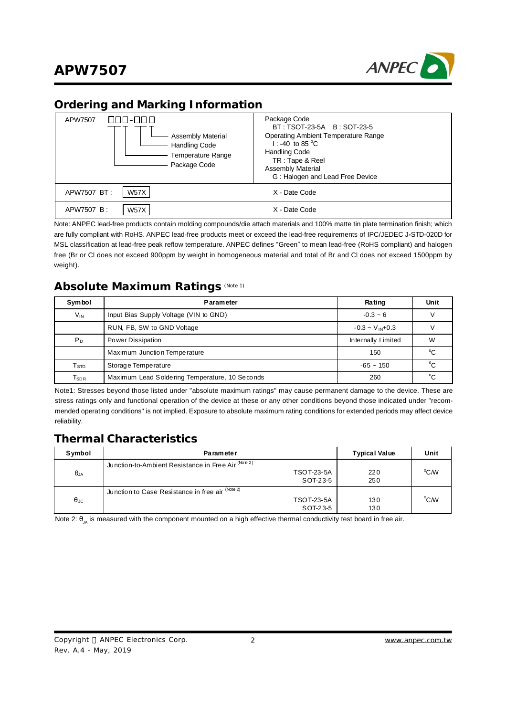

### **Ordering and Marking Information**

| NNN-NNN<br>APW7507<br><b>Assembly Material</b><br><b>Handling Code</b><br><b>Temperature Range</b><br>Package Code | Package Code<br>BT: TSOT-23-5A B: SOT-23-5<br><b>Operating Ambient Temperature Range</b><br>1: -40 to 85 $^{\circ}$ C<br><b>Handling Code</b><br>TR: Tape & Reel<br><b>Assembly Material</b><br>G: Halogen and Lead Free Device |
|--------------------------------------------------------------------------------------------------------------------|---------------------------------------------------------------------------------------------------------------------------------------------------------------------------------------------------------------------------------|
| <b>W57X</b><br>APW7507 BT:                                                                                         | X - Date Code                                                                                                                                                                                                                   |
| <b>W57X</b><br>APW7507 B:                                                                                          | X - Date Code                                                                                                                                                                                                                   |

Note: ANPEC lead-free products contain molding compounds/die attach materials and 100% matte tin plate termination finish; which are fully compliant with RoHS. ANPEC lead-free products meet or exceed the lead-free requirements of IPC/JEDEC J**-**STD-020D for MSL classification at lead-free peak reflow temperature. ANPEC defines "Green" to mean lead-free (RoHS compliant) and halogen free (Br or Cl does not exceed 900ppm by weight in homogeneous material and total of Br and Cl does not exceed 1500ppm by weight).

### **Absolute Maximum Ratings** (Note 1)

| <b>Symbol</b>               | <b>Parameter</b>                               | Rating                | Unit         |
|-----------------------------|------------------------------------------------|-----------------------|--------------|
| $V_{IN}$                    | Input Bias Supply Voltage (VIN to GND)         | $-0.3 - 6$            |              |
|                             | RUN, FB, SW to GND Voltage                     | $-0.3 - V_{IN} + 0.3$ |              |
| $P_D$                       | Power Dissipation                              | Internally Limited    | W            |
|                             | Maximum Junction Temperature                   | 150                   | °C           |
| $\mathsf{T}_{\texttt{STG}}$ | Storage Temperature                            | $-65 - 150$           | $^{\circ}$ C |
| $\mathsf{T}_\mathsf{SDR}$   | Maximum Lead Soldering Temperature, 10 Seconds | 260                   | $\circ$      |

Note1: Stresses beyond those listed under "absolute maximum ratings" may cause permanent damage to the device. These are stress ratings only and functional operation of the device at these or any other conditions beyond those indicated under "recommended operating conditions" is not implied. Exposure to absolute maximum rating conditions for extended periods may affect device reliability.

### **Thermal Characteristics**

| Symbol      | <b>Parameter</b>                                                                     | <b>Typical Value</b> | Unit          |
|-------------|--------------------------------------------------------------------------------------|----------------------|---------------|
| $\theta$ JA | Junction-to-Ambient Resistance in Free Air (Note 2)<br><b>TSOT-23-5A</b><br>SOT-23-5 | 220<br>250           | °CM           |
| $\theta$ JC | Junction to Case Resistance in free air (Note 2)<br><b>TSOT-23-5A</b><br>SOT-23-5    | 130<br>130           | $^{\circ}$ CM |

Note 2:  $\theta_{\text{IA}}$  is measured with the component mounted on a high effective thermal conductivity test board in free air.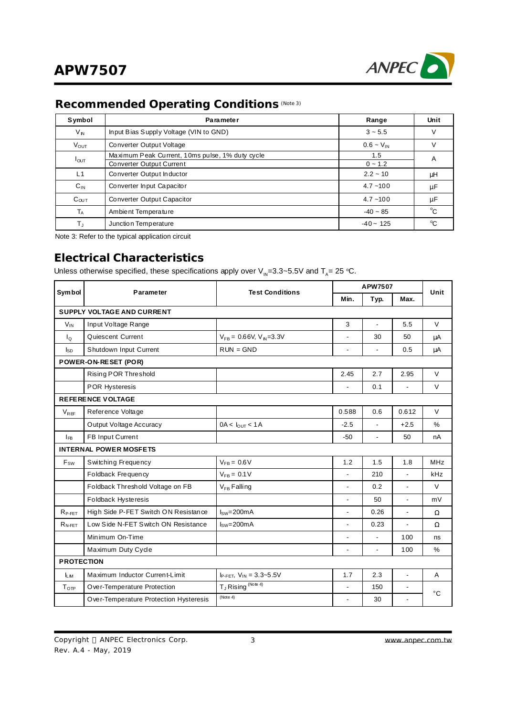

# **Recommended Operating Conditions** (Note 3)

| Symbol           | <b>Parameter</b>                                                            | Range               | Unit        |
|------------------|-----------------------------------------------------------------------------|---------------------|-------------|
| V <sub>N</sub>   | Input Bias Supply Voltage (VIN to GND)                                      | $3 \sim 5.5$        |             |
| $V_{OUT}$        | Converter Output Voltage                                                    | $0.6 - V_{IN}$      |             |
| $I_{\text{OUT}}$ | Maximum Peak Current, 10ms pulse, 1% duty cycle<br>Converter Output Current | 1.5<br>$0 \sim 1.2$ | A           |
| L1               | Converter Output Inductor                                                   | $2.2 - 10$          | μH          |
| $C_{IN}$         | Converter Input Capacitor                                                   | $4.7 - 100$         | μF          |
| $C_{OUT}$        | <b>Converter Output Capacitor</b>                                           | $4.7 - 100$         | μF          |
| $T_A$            | Ambient Temperature                                                         | $-40 - 85$          | °C          |
| $T_{\rm J}$      | Junction Temperature                                                        | $-40 - 125$         | $^{\circ}C$ |

Note 3: Refer to the typical application circuit

### **Electrical Characteristics**

Unless otherwise specified, these specifications apply over  $\mathsf{V}_{\mathsf{IN}}$ =3.3~5.5V and T<sub>A</sub>= 25 °C.

| Symbol             | Parameter                              | <b>Test Conditions</b>                    |                          | APW7507        |                          |              |  |
|--------------------|----------------------------------------|-------------------------------------------|--------------------------|----------------|--------------------------|--------------|--|
|                    |                                        |                                           | Min.                     | Typ.           | Max.                     | Unit         |  |
|                    | SUPPLY VOLTAGE AND CURRENT             |                                           |                          |                |                          |              |  |
| $V_{IN}$           | Input Voltage Range                    |                                           | 3                        | $\overline{a}$ | 5.5                      | $\vee$       |  |
| $I_{\Omega}$       | Quiescent Current                      | $V_{FB} = 0.66V, V_{N} = 3.3V$            | $\overline{\phantom{0}}$ | 30             | 50                       | μA           |  |
| $I_{SD}$           | Shutdown Input Current                 | $RUN = GND$                               | $\overline{a}$           | $\blacksquare$ | 0.5                      | μA           |  |
|                    | POWER-ON-RESET (POR)                   |                                           |                          |                |                          |              |  |
|                    | Rising POR Threshold                   |                                           | 2.45                     | 2.7            | 2.95                     | V            |  |
|                    | <b>POR Hysteresis</b>                  |                                           | $\overline{a}$           | 0.1            | $\blacksquare$           | $\vee$       |  |
|                    | <b>REFERENCE VOLTAGE</b>               |                                           |                          |                |                          |              |  |
| $V_{RFF}$          | Reference Voltage                      |                                           | 0.588                    | 0.6            | 0.612                    | $\vee$       |  |
|                    | Output Voltage Accuracy                | $0A < I_{\text{OUT}} < 1A$                | $-2.5$                   |                | $+2.5$                   | $\%$         |  |
| $I_{FB}$           | FB Input Current                       |                                           | $-50$                    | ÷,             | 50                       | nA           |  |
|                    | <b>INTERNAL POWER MOSFETS</b>          |                                           |                          |                |                          |              |  |
| $F_{SW}$           | Switching Frequency                    | $V_{FB} = 0.6 V$                          | 1.2                      | 1.5            | 1.8                      | <b>MHz</b>   |  |
|                    | Foldback Frequency                     | $V_{FB} = 0.1 V$                          | $\overline{a}$           | 210            | $\blacksquare$           | kHz          |  |
|                    | Foldback Threshold Voltage on FB       | $V_{FB}$ Falling                          | $\overline{a}$           | 0.2            | $\blacksquare$           | V            |  |
|                    | Foldback Hysteresis                    |                                           | ÷,                       | 50             | $\blacksquare$           | mV           |  |
| $R_{P\text{-FET}}$ | High Side P-FET Switch ON Resistance   | $ISW=200mA$                               | ÷,                       | 0.26           | $\blacksquare$           | $\Omega$     |  |
| $R_{N\text{-FET}}$ | Low Side N-FET Switch ON Resistance    | $Isw=200mA$                               | $\overline{a}$           | 0.23           | $\overline{a}$           | Ω            |  |
|                    | Minimum On-Time                        |                                           | $\overline{\phantom{0}}$ | $\blacksquare$ | 100                      | ns           |  |
|                    | Maximum Duty Cyde                      |                                           |                          |                | 100                      | %            |  |
| <b>PROTECTION</b>  |                                        |                                           |                          |                |                          |              |  |
| <b>LM</b>          | Maximum Inductor Current-Limit         | IP-FET, $V_{IN} = 3.3 - 5.5V$             | 1.7                      | 2.3            | $\blacksquare$           | A            |  |
| T <sub>OTP</sub>   | Over-Temperature Protection            | T <sub>J</sub> Rising <sup>(Note 4)</sup> | $\overline{a}$           | 150            | $\blacksquare$           |              |  |
|                    | Over-Temperature Protection Hysteresis | (Note 4)                                  | $\overline{\phantom{0}}$ | 30             | $\overline{\phantom{a}}$ | $^{\circ}$ C |  |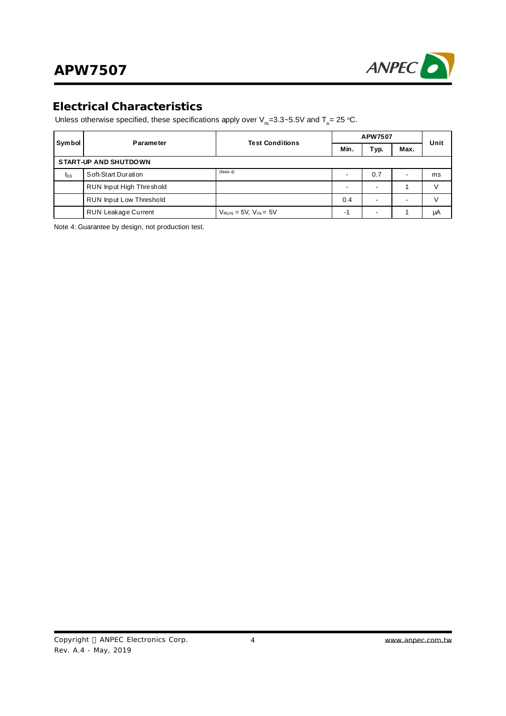

### **Electrical Characteristics**

Unless otherwise specified, these specifications apply over  $\mathsf{V}_{\mathsf{IN}} = 3.3 \sim 5.5\mathsf{V}$  and  $\mathsf{T}_{\mathsf{A}} = 25$  °C.

| <b>Symbol</b>                | Parameter                      | <b>Test Conditions</b>        |      | APW7507 |      |      |  |
|------------------------------|--------------------------------|-------------------------------|------|---------|------|------|--|
|                              |                                |                               | Min. | Typ.    | Max. | Unit |  |
| <b>START-UP AND SHUTDOWN</b> |                                |                               |      |         |      |      |  |
| tss                          | Soft-Start Duration            | (Note 4)                      |      | 0.7     |      | ms   |  |
|                              | RUN Input High Threshold       |                               | -    | ٠       |      |      |  |
|                              | <b>RUN Input Low Threshold</b> |                               | 0.4  | ۰       |      |      |  |
|                              | <b>RUN Leakage Current</b>     | $V_{RUN}$ = 5V, $V_{IN}$ = 5V | -1   | -       |      | μA   |  |

Note 4: Guarantee by design, not production test.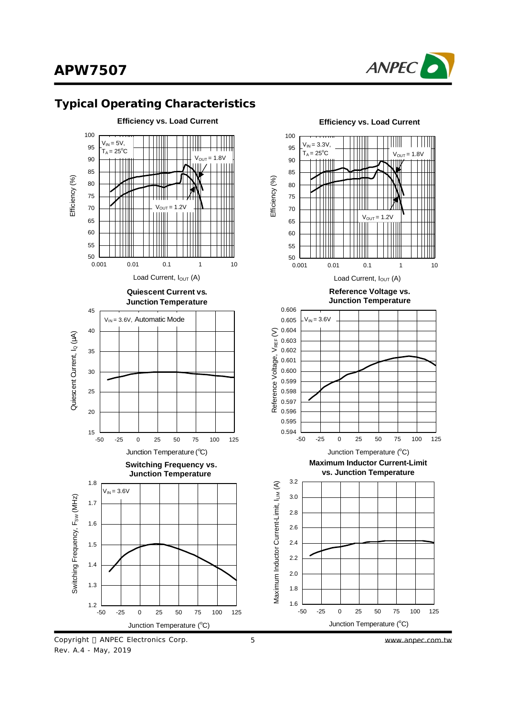



### **Typical Operating Characteristics**



5 *[www.anpec.com.tw](http://www.anpec.com.tw)*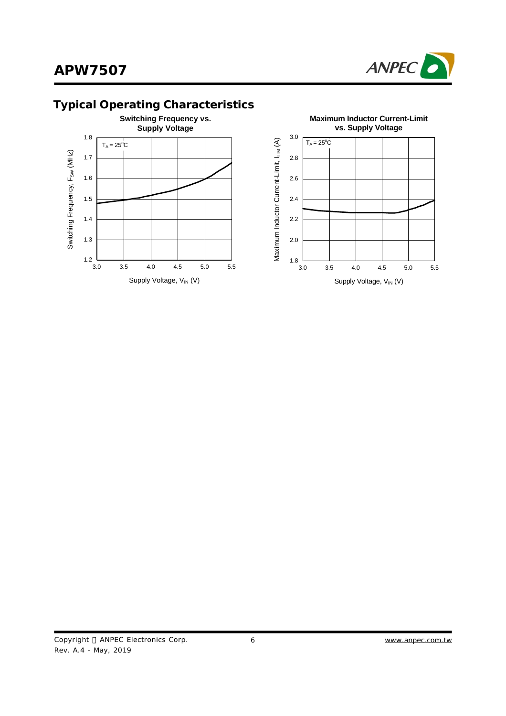



# **Typical Operating Characteristics**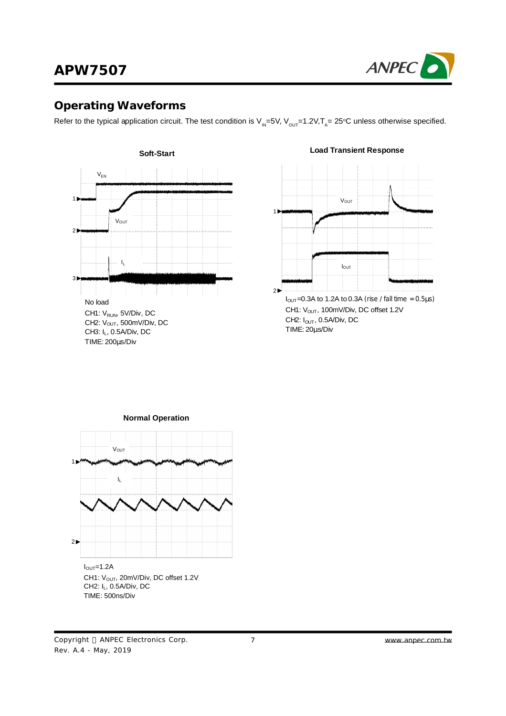

### **Operating Waveforms**

Refer to the typical application circuit. The test condition is V<sub>IN</sub>=5V, V<sub>ouT</sub>=1.2V,T<sub>A</sub>= 25°C unless otherwise specified.



#### **Load Transient Response**





Copyright © ANPEC Electronics Corp. Rev. A.4 - May, 2019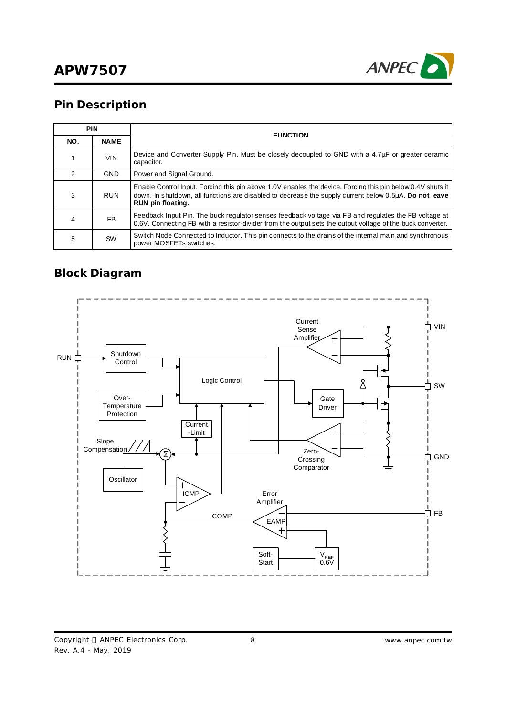

## **Pin Description**

|               | <b>PIN</b>  | <b>FUNCTION</b>                                                                                                                                                                                                                           |
|---------------|-------------|-------------------------------------------------------------------------------------------------------------------------------------------------------------------------------------------------------------------------------------------|
| NO.           | <b>NAME</b> |                                                                                                                                                                                                                                           |
|               | <b>VIN</b>  | Device and Converter Supply Pin. Must be closely decoupled to GND with a 4.7uF or greater ceramic<br>capacitor.                                                                                                                           |
| $\mathcal{P}$ | <b>GND</b>  | Power and Signal Ground.                                                                                                                                                                                                                  |
| 3             | <b>RUN</b>  | Enable Control Input. Forcing this pin above 1.0V enables the device. Forcing this pin below 0.4V shuts it<br>down. In shutdown, all functions are disabled to decrease the supply current below 0.5µA. Do not leave<br>RUN pin floating. |
|               | <b>FB</b>   | Feedback Input Pin. The buck regulator senses feedback voltage via FB and regulates the FB voltage at<br>0.6V. Connecting FB with a resistor-divider from the output sets the output voltage of the buck converter.                       |
| 5             | SW          | Switch Node Connected to Inductor. This pin connects to the drains of the internal main and synchronous<br>power MOSFETs switches.                                                                                                        |

### **Block Diagram**

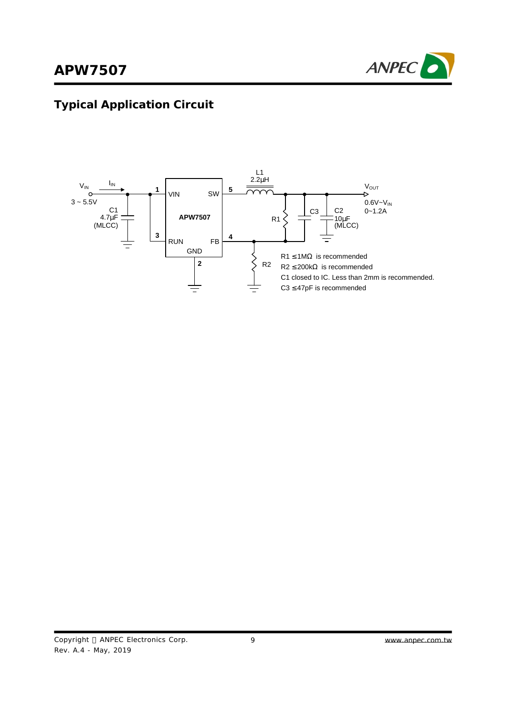

# **Typical Application Circuit**

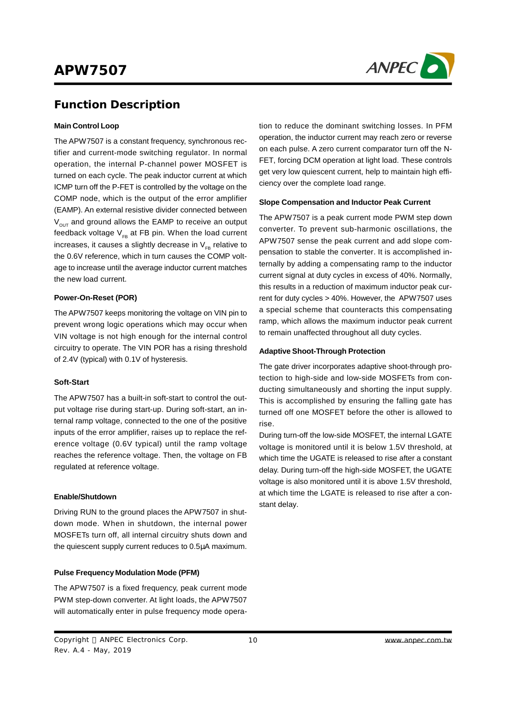

### **Function Description**

#### **Main Control Loop**

The APW7507 is a constant frequency, synchronous rectifier and current-mode switching regulator. In normal operation, the internal P-channel power MOSFET is turned on each cycle. The peak inductor current at which ICMP turn off the P-FET is controlled by the voltage on the COMP node, which is the output of the error amplifier (EAMP). An external resistive divider connected between  $V_{\text{out}}$  and ground allows the EAMP to receive an output feedback voltage  $V_{FB}$  at FB pin. When the load current increases, it causes a slightly decrease in  $V_{FB}$  relative to the 0.6V reference, which in turn causes the COMP voltage to increase until the average inductor current matches the new load current.

#### **Power-On-Reset (POR)**

The APW7507 keeps monitoring the voltage on VIN pin to prevent wrong logic operations which may occur when VIN voltage is not high enough for the internal control circuitry to operate. The VIN POR has a rising threshold of 2.4V (typical) with 0.1V of hysteresis.

#### **Soft-Start**

The APW7507 has a built-in soft-start to control the output voltage rise during start-up. During soft-start, an internal ramp voltage, connected to the one of the positive inputs of the error amplifier, raises up to replace the reference voltage (0.6V typical) until the ramp voltage reaches the reference voltage. Then, the voltage on FB regulated at reference voltage.

#### **Enable/Shutdown**

Driving RUN to the ground places the APW7507 in shutdown mode. When in shutdown, the internal power MOSFETs turn off, all internal circuitry shuts down and the quiescent supply current reduces to 0.5μA maximum.

#### **Pulse Frequency Modulation Mode (PFM)**

The APW7507 is a fixed frequency, peak current mode PWM step-down converter. At light loads, the APW7507 will automatically enter in pulse frequency mode operation to reduce the dominant switching losses. In PFM operation, the inductor current may reach zero or reverse on each pulse. A zero current comparator turn off the N-FET, forcing DCM operation at light load. These controls get very low quiescent current, help to maintain high efficiency over the complete load range.

#### **Slope Compensation and Inductor Peak Current**

The APW7507 is a peak current mode PWM step down converter. To prevent sub-harmonic oscillations, the APW7507 sense the peak current and add slope compensation to stable the converter. It is accomplished internally by adding a compensating ramp to the inductor current signal at duty cycles in excess of 40%. Normally, this results in a reduction of maximum inductor peak current for duty cycles > 40%. However, the APW7507 uses a special scheme that counteracts this compensating ramp, which allows the maximum inductor peak current to remain unaffected throughout all duty cycles.

#### **Adaptive Shoot-Through Protection**

The gate driver incorporates adaptive shoot-through protection to high-side and low-side MOSFETs from conducting simultaneously and shorting the input supply. This is accomplished by ensuring the falling gate has turned off one MOSFET before the other is allowed to rise.

During turn-off the low-side MOSFET, the internal LGATE voltage is monitored until it is below 1.5V threshold, at which time the UGATE is released to rise after a constant delay. During turn-off the high-side MOSFET, the UGATE voltage is also monitored until it is above 1.5V threshold, at which time the LGATE is released to rise after a constant delay.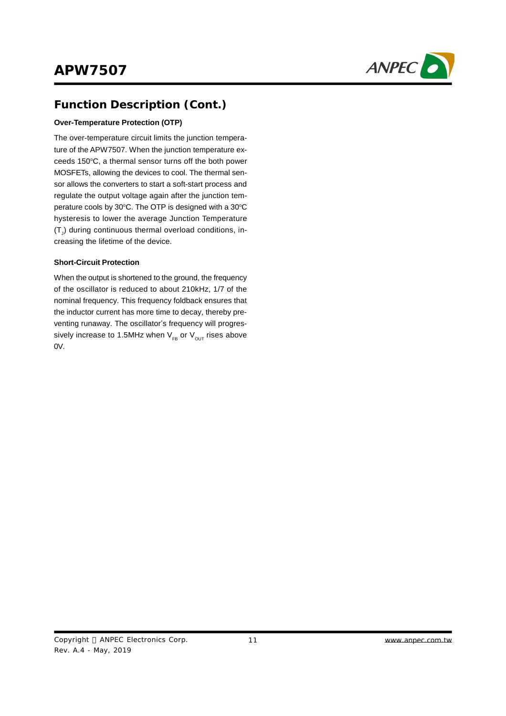

## **Function Description (Cont.)**

### **Over-Temperature Protection (OTP)**

The over-temperature circuit limits the junction temperature of the APW7507. When the junction temperature exceeds 150°C, a thermal sensor turns off the both power MOSFETs, allowing the devices to cool. The thermal sensor allows the converters to start a soft-start process and regulate the output voltage again after the junction temperature cools by 30°C. The OTP is designed with a 30°C hysteresis to lower the average Junction Temperature  $\left(\mathsf{T}_\mathsf{J}\right)$  during continuous thermal overload conditions, increasing the lifetime of the device.

#### **Short-Circuit Protection**

When the output is shortened to the ground, the frequency of the oscillator is reduced to about 210kHz, 1/7 of the nominal frequency. This frequency foldback ensures that the inductor current has more time to decay, thereby preventing runaway. The oscillator's frequency will progressively increase to 1.5MHz when  $V_{FB}$  or  $V_{OUT}$  rises above 0V.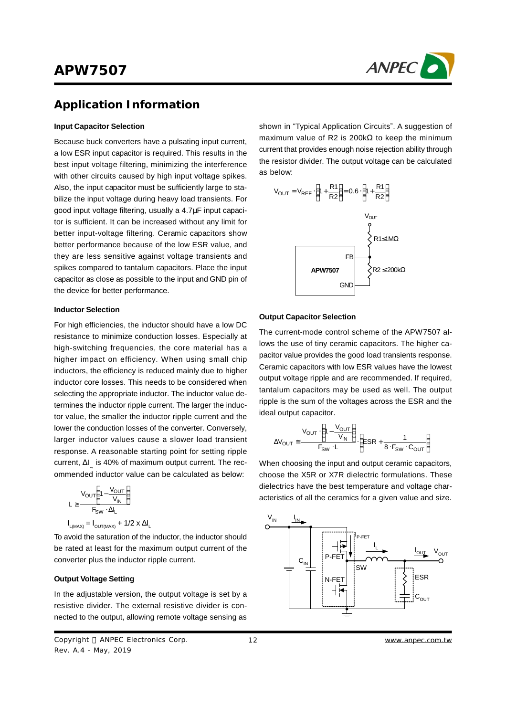

### **Application Information**

#### **Input Capacitor Selection**

Because buck converters have a pulsating input current, a low ESR input capacitor is required. This results in the best input voltage filtering, minimizing the interference with other circuits caused by high input voltage spikes. Also, the input capacitor must be sufficiently large to stabilize the input voltage during heavy load transients. For good input voltage filtering, usually a 4.7μF input capacitor is sufficient. It can be increased without any limit for better input-voltage filtering. Ceramic capacitors show better performance because of the low ESR value, and they are less sensitive against voltage transients and spikes compared to tantalum capacitors. Place the input capacitor as close as possible to the input and GND pin of the device for better performance.

#### **Inductor Selection**

For high efficiencies, the inductor should have a low DC resistance to minimize conduction losses. Especially at high-switching frequencies, the core material has a higher impact on efficiency. When using small chip inductors, the efficiency is reduced mainly due to higher inductor core losses. This needs to be considered when selecting the appropriate inductor. The inductor value determines the inductor ripple current. The larger the inductor value, the smaller the inductor ripple current and the lower the conduction losses of the converter. Conversely, larger inductor values cause a slower load transient response. A reasonable starting point for setting ripple current, Δl<sub>L,</sub> is 40% of maximum output current. The recommended inductor value can be calculated as below:

$$
L \geq \frac{V_{OUT}\left(1 - \frac{V_{OUT}}{V_{IN}}\right)}{F_{SW} \cdot \Delta I_L}
$$

$$
I_{L(MAX)} = I_{OUT(MAX)} + 1/2 \times \Delta I_L
$$

To avoid the saturation of the inductor, the inductor should be rated at least for the maximum output current of the converter plus the inductor ripple current.

#### **Output Voltage Setting**

In the adjustable version, the output voltage is set by a resistive divider. The external resistive divider is connected to the output, allowing remote voltage sensing as

Copyright © ANPEC Electronics Corp. Rev. A.4 - May, 2019

shown in "Typical Application Circuits". A suggestion of maximum value of R2 is 200kΩ to keep the minimum current that provides enough noise rejection ability through the resistor divider. The output voltage can be calculated as below:



#### **Output Capacitor Selection**

The current-mode control scheme of the APW7507 allows the use of tiny ceramic capacitors. The higher capacitor value provides the good load transients response. Ceramic capacitors with low ESR values have the lowest output voltage ripple and are recommended. If required, tantalum capacitors may be used as well. The output ripple is the sum of the voltages across the ESR and the ideal output capacitor.

$$
\Delta V_{\text{OUT}} \cong \frac{V_{\text{OUT}} \cdot \left(1 - \frac{V_{\text{OUT}}}{V_{\text{IN}}}\right)}{F_{\text{SW}} \cdot L} \cdot \left(ESR + \frac{1}{8 \cdot F_{\text{SW}} \cdot C_{\text{OUT}}}\right)
$$

When choosing the input and output ceramic capacitors, choose the X5R or X7R dielectric formulations. These dielectrics have the best temperature and voltage characteristics of all the ceramics for a given value and size.

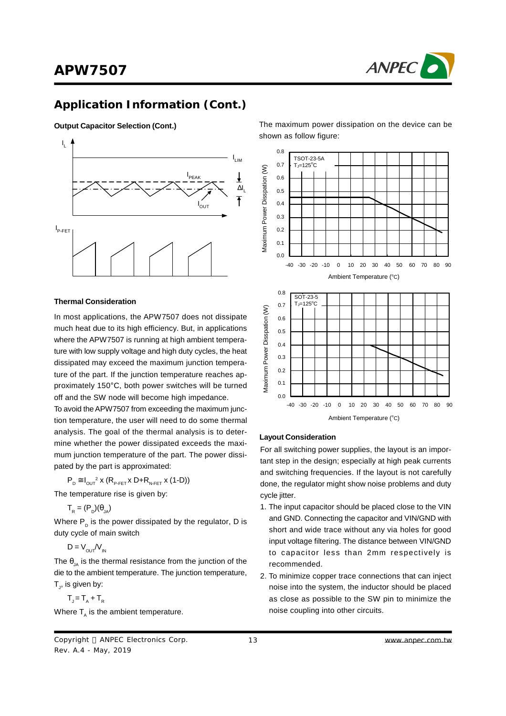

### **Application Information (Cont.)**

#### **Output Capacitor Selection (Cont.)**



#### **Thermal Consideration**

In most applications, the APW7507 does not dissipate much heat due to its high efficiency. But, in applications where the APW7507 is running at high ambient temperature with low supply voltage and high duty cycles, the heat dissipated may exceed the maximum junction temperature of the part. If the junction temperature reaches approximately 150°C, both power switches will be turned off and the SW node will become high impedance.

To avoid theAPW7507 from exceeding the maximum junction temperature, the user will need to do some thermal analysis. The goal of the thermal analysis is to determine whether the power dissipated exceeds the maximum junction temperature of the part. The power dissipated by the part is approximated:

 $P_D \cong I_{OUT}^2$  x  $(R_{P-FET}$  x D+ $R_{N-FET}$  x (1-D))

The temperature rise is given by:

 $T_R = (P_D)(\theta_{JA})$ 

Where  $\mathsf{P}_\mathsf{D}$  is the power dissipated by the regulator, D is duty cycle of main switch

 $D = V_{\text{out}}/V_{\text{in}}$ 

The  $\theta_{14}$  is the thermal resistance from the junction of the die to the ambient temperature. The junction temperature,  ${\sf T}_{\sf j}$ , is given by:

$$
T_{j} = T_{A} + T_{R}
$$

Where  $\mathsf{T}_{\scriptscriptstyle{\mathsf{A}}}$  is the ambient temperature.

The maximum power dissipation on the device can be shown as follow figure:





#### **Layout Consideration**

For all switching power supplies, the layout is an important step in the design; especially at high peak currents and switching frequencies. If the layout is not carefully done, the regulator might show noise problems and duty cycle jitter.

- 1. The input capacitor should be placed close to the VIN and GND. Connecting the capacitor and VIN/GND with short and wide trace without any via holes for good input voltage filtering. The distance between VIN/GND to capacitor less than 2mm respectively is recommended.
- 2. To minimize copper trace connections that can inject noise into the system, the inductor should be placed as close as possible to the SW pin to minimize the noise coupling into other circuits.

Copyright © ANPEC Electronics Corp. Rev. A.4 - May, 2019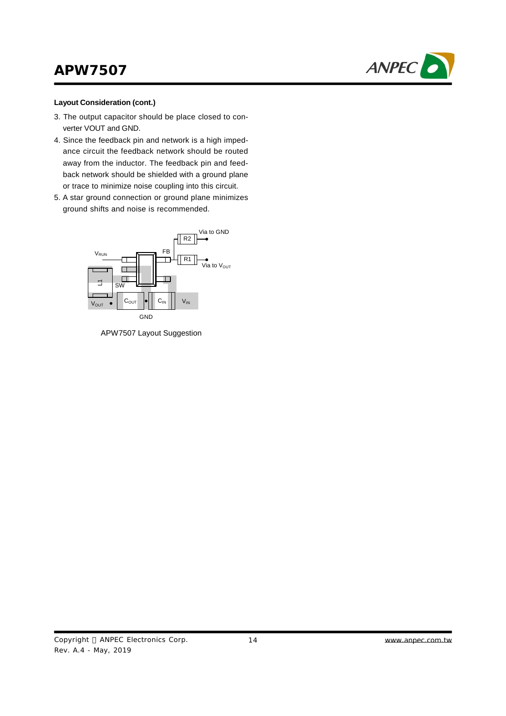

#### **Layout Consideration (cont.)**

- 3. The output capacitor should be place closed to converter VOUT and GND.
- 4. Since the feedback pin and network is a high impedance circuit the feedback network should be routed away from the inductor. The feedback pin and feedback network should be shielded with a ground plane or trace to minimize noise coupling into this circuit.
- 5. A star ground connection or ground plane minimizes ground shifts and noise is recommended.



APW7507 Layout Suggestion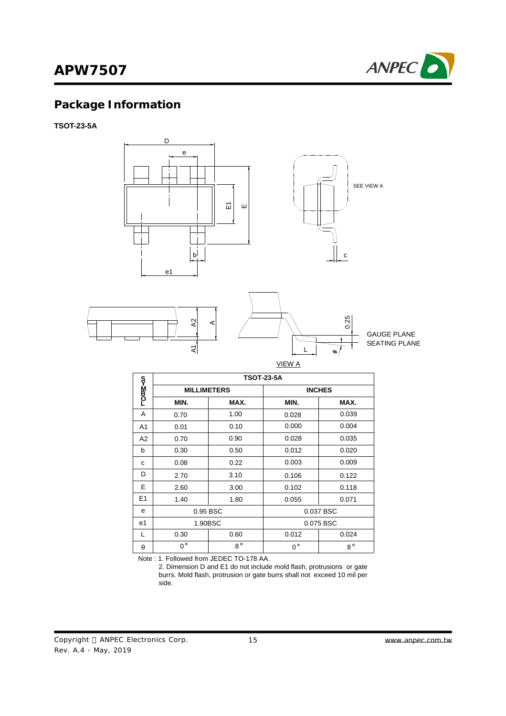

# **Package Information**

**TSOT-23-5A**



|                | <b>TSOT-23-5A</b> |                    |             |               |  |  |
|----------------|-------------------|--------------------|-------------|---------------|--|--|
| <b>DODNN3</b>  |                   | <b>MILLIMETERS</b> |             | <b>INCHES</b> |  |  |
|                | MIN.              | MAX.               | MIN.        | MAX.          |  |  |
| A              | 0.70              | 1.00               | 0.028       | 0.039         |  |  |
| A <sub>1</sub> | 0.01              | 0.10               | 0.000       | 0.004         |  |  |
| A <sub>2</sub> | 0.70              | 0.90               | 0.028       | 0.035         |  |  |
| b              | 0.30              | 0.50               | 0.012       | 0.020         |  |  |
| C              | 0.08              | 0.22               | 0.003       | 0.009         |  |  |
| D              | 2.70              | 3.10               | 0.106       | 0.122         |  |  |
| E              | 2.60              | 3.00               | 0.102       | 0.118         |  |  |
| E <sub>1</sub> | 1.40              | 1.80               | 0.055       | 0.071         |  |  |
| e              | 0.95 BSC          |                    |             | 0.037 BSC     |  |  |
| e1             | 1.90BSC           |                    |             | 0.075 BSC     |  |  |
| L              | 0.30              | 0.60               | 0.012       | 0.024         |  |  |
| θ              | $0^{\circ}$       | $8^{\circ}$        | $0^{\circ}$ | $8^\circ$     |  |  |

Note : 1. Followed from JEDEC TO-178 AA.

 2. Dimension D and E1 do not include mold flash, protrusions or gate burrs. Mold flash, protrusion or gate burrs shall not exceed 10 mil per side.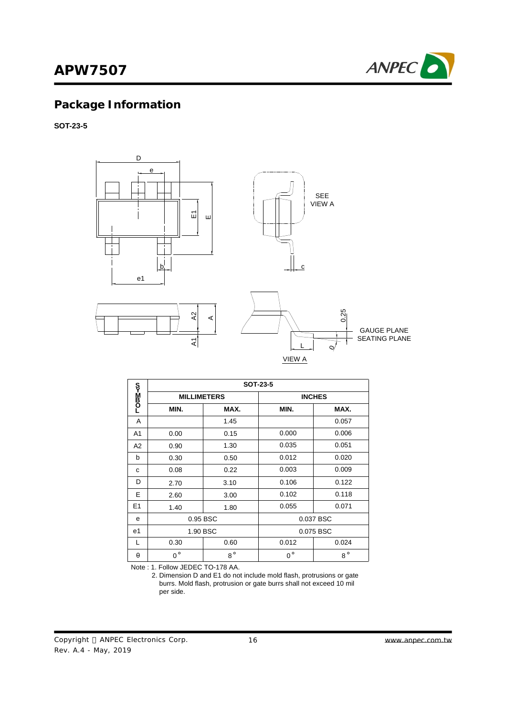

# **Package Information**

**SOT-23-5**



|                | SOT-23-5           |             |             |               |  |  |
|----------------|--------------------|-------------|-------------|---------------|--|--|
| –om≥ko         | <b>MILLIMETERS</b> |             |             | <b>INCHES</b> |  |  |
|                | MIN.               | MAX.        | MIN.        | MAX.          |  |  |
| A              |                    | 1.45        |             | 0.057         |  |  |
| A <sub>1</sub> | 0.00               | 0.15        | 0.000       | 0.006         |  |  |
| A2             | 0.90               | 1.30        | 0.035       | 0.051         |  |  |
| b              | 0.30               | 0.50        | 0.012       | 0.020         |  |  |
| C              | 0.08               | 0.22        | 0.003       | 0.009         |  |  |
| D              | 2.70               | 3.10        | 0.106       | 0.122         |  |  |
| E              | 2.60               | 3.00        | 0.102       | 0.118         |  |  |
| E1             | 1.40               | 1.80        | 0.055       | 0.071         |  |  |
| e              | 0.95 BSC           |             |             | 0.037 BSC     |  |  |
| e1             | 1.90 BSC           |             |             | 0.075 BSC     |  |  |
| L              | 0.30               | 0.60        | 0.012       | 0.024         |  |  |
| θ              | $0^{\circ}$        | $8^{\circ}$ | $0^{\circ}$ | $8^{\circ}$   |  |  |

Note : 1. Follow JEDEC TO-178 AA.

 2. Dimension D and E1 do not include mold flash, protrusions or gate burrs. Mold flash, protrusion or gate burrs shall not exceed 10 mil per side.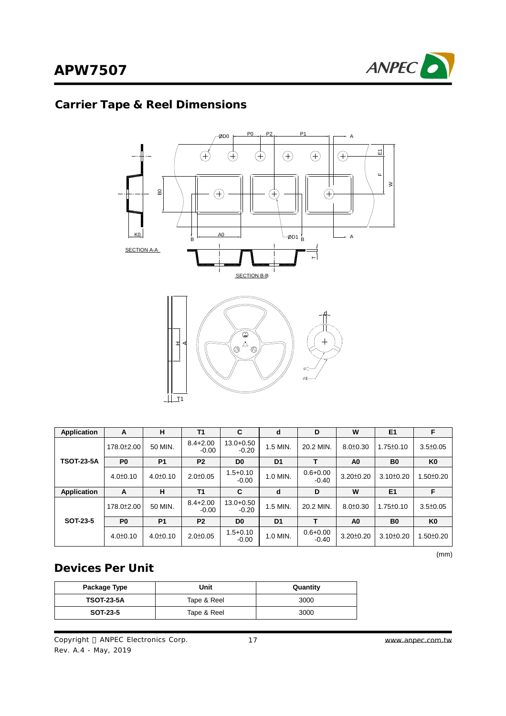# **Carrier Tape & Reel Dimensions**



| Application       | A                       | н              | T <sub>1</sub>          | C                        | d              | D                       | W               | E <sub>1</sub>  | F               |
|-------------------|-------------------------|----------------|-------------------------|--------------------------|----------------|-------------------------|-----------------|-----------------|-----------------|
|                   | 178.0 <sup>±</sup> 2.00 | 50 MIN.        | $8.4 + 2.00$<br>$-0.00$ | $13.0 + 0.50$<br>$-0.20$ | $1.5$ MIN.     | 20.2 MIN                | $8.0 \pm 0.30$  | $1.75 \pm 0.10$ | $3.5 \pm 0.05$  |
| <b>TSOT-23-5A</b> | P <sub>0</sub>          | <b>P1</b>      | P <sub>2</sub>          | D <sub>0</sub>           | D <sub>1</sub> |                         | A <sub>0</sub>  | B <sub>0</sub>  | K <sub>0</sub>  |
|                   | $4.0 \pm 0.10$          | $4.0 \pm 0.10$ | $2.0 \pm 0.05$          | $1.5 + 0.10$<br>$-0.00$  | 1.0 MIN.       | $0.6 + 0.00$<br>$-0.40$ | $3.20 \pm 0.20$ | $3.10 \pm 0.20$ | $1.50 \pm 0.20$ |
| Application       | A                       | н              | T <sub>1</sub>          | C                        | d              | D                       | W               | E <sub>1</sub>  | F               |
|                   | 178.0 <sup>±</sup> 2.00 | 50 MIN.        | $8.4 + 2.00$<br>$-0.00$ | $13.0 + 0.50$<br>$-0.20$ | 1.5 MIN.       | 20.2 MIN.               | $8.0 \pm 0.30$  | $1.75 \pm 0.10$ | $3.5 \pm 0.05$  |
| SOT-23-5          | P <sub>0</sub>          | <b>P1</b>      | P <sub>2</sub>          | D <sub>0</sub>           | D <sub>1</sub> |                         | A <sub>0</sub>  | B <sub>0</sub>  | K <sub>0</sub>  |
|                   |                         |                |                         | $1.5 + 0.10$             |                | $0.6 + 0.00$            |                 |                 |                 |

(mm)

## **Devices Per Unit**

| Package Type      | Unit        | Quantity |
|-------------------|-------------|----------|
| <b>TSOT-23-5A</b> | Tape & Reel | 3000     |
| SOT-23-5          | Tape & Reel | 3000     |

Copyright © ANPEC Electronics Corp. Rev. A.4 - May, 2019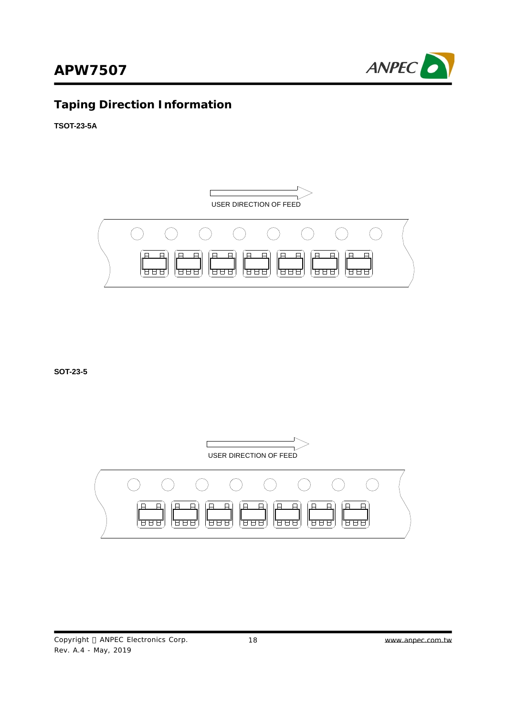

# **Taping Direction Information**

**TSOT-23-5A**



**SOT-23-5**

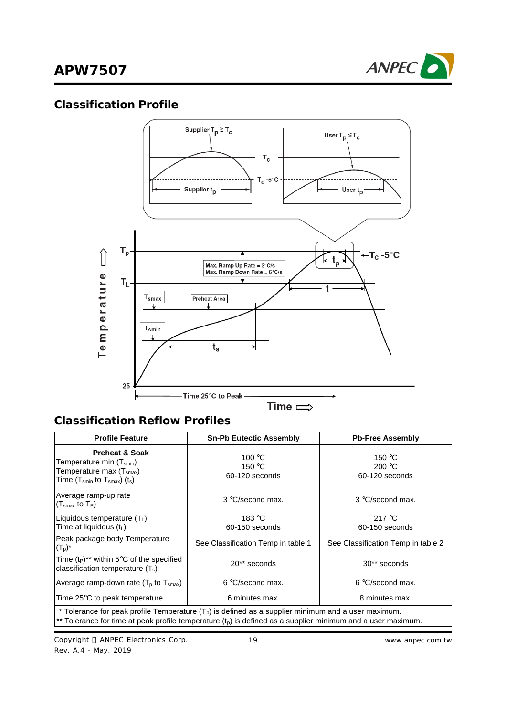

### **Classification Profile**



## **Classification Reflow Profiles**

| <b>Profile Feature</b>                                                                                                                                                                                                  | <b>Sn-Pb Eutectic Assembly</b>                       | <b>Pb-Free Assembly</b>                              |  |  |  |
|-------------------------------------------------------------------------------------------------------------------------------------------------------------------------------------------------------------------------|------------------------------------------------------|------------------------------------------------------|--|--|--|
| <b>Preheat &amp; Soak</b><br>Temperature min (T <sub>smin</sub> )<br>Temperature max (T <sub>smax</sub> )<br>Time $(T_{smin}$ to $T_{smax}$ ) $(t_s)$                                                                   | 100 $\degree$ C<br>150 $\degree$ C<br>60-120 seconds | 150 $\degree$ C<br>200 $\degree$ C<br>60-120 seconds |  |  |  |
| Average ramp-up rate<br>$(Tsmax$ to $TP)$                                                                                                                                                                               | 3 °C/second max.                                     | 3 °C/second max.                                     |  |  |  |
| Liquidous temperature $(TL)$<br>Time at liquidous (tL)                                                                                                                                                                  | 183 °C<br>60-150 seconds                             | 217 $\degree$ C<br>60-150 seconds                    |  |  |  |
| Peak package body Temperature<br>$(T_p)^*$                                                                                                                                                                              | See Classification Temp in table 1                   | See Classification Temp in table 2                   |  |  |  |
| Time $(t_P)^{**}$ within 5°C of the specified<br>classification temperature $(T_c)$                                                                                                                                     | 20** seconds                                         | 30 <sup>**</sup> seconds                             |  |  |  |
| Average ramp-down rate ( $T_p$ to $T_{\text{smax}}$ )                                                                                                                                                                   | $6 °C$ /second max.                                  | $6 °C$ /second max.                                  |  |  |  |
| Time 25°C to peak temperature                                                                                                                                                                                           | 6 minutes max.                                       | 8 minutes max.                                       |  |  |  |
| * Tolerance for peak profile Temperature $(T_p)$ is defined as a supplier minimum and a user maximum.<br>** Tolerance for time at peak profile temperature $(t_p)$ is defined as a supplier minimum and a user maximum. |                                                      |                                                      |  |  |  |

Copyright © ANPEC Electronics Corp. Rev. A.4 - May, 2019